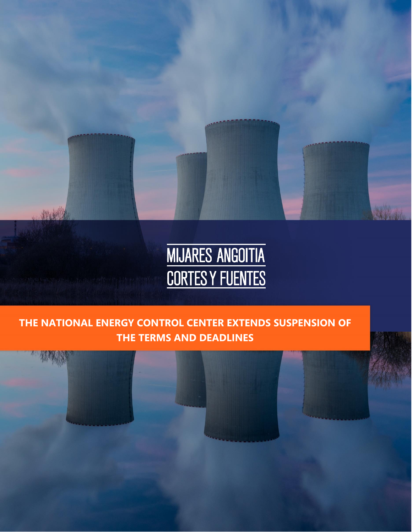

# **THE NATIONAL ENERGY CONTROL CENTER EXTENDS SUSPENSION OF THE TERMS AND DEADLINES**